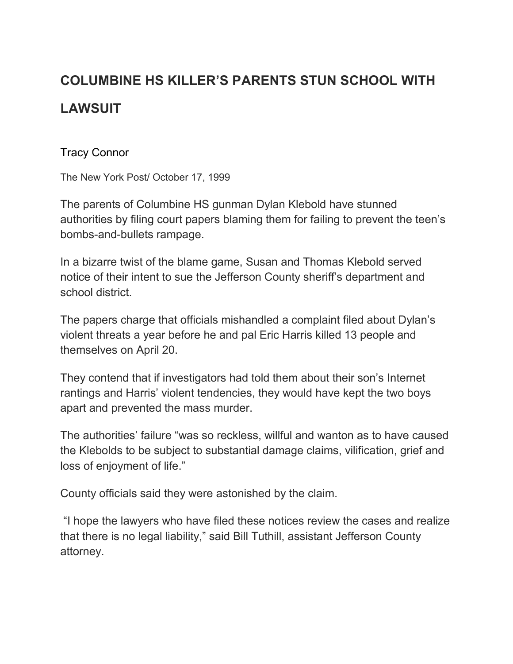## **COLUMBINE HS KILLER'S PARENTS STUN SCHOOL WITH LAWSUIT**

## [Tracy Connor](https://nypost.com/author/tracy-connor/)

The New York Post/ October 17, 1999

The parents of Columbine HS gunman Dylan Klebold have stunned authorities by filing court papers blaming them for failing to prevent the teen's bombs-and-bullets rampage.

In a bizarre twist of the blame game, Susan and Thomas Klebold served notice of their intent to sue the Jefferson County sheriff's department and school district.

The papers charge that officials mishandled a complaint filed about Dylan's violent threats a year before he and pal Eric Harris killed 13 people and themselves on April 20.

They contend that if investigators had told them about their son's Internet rantings and Harris' violent tendencies, they would have kept the two boys apart and prevented the mass murder.

The authorities' failure "was so reckless, willful and wanton as to have caused the Klebolds to be subject to substantial damage claims, vilification, grief and loss of enjoyment of life."

County officials said they were astonished by the claim.

"I hope the lawyers who have filed these notices review the cases and realize that there is no legal liability," said Bill Tuthill, assistant Jefferson County attorney.